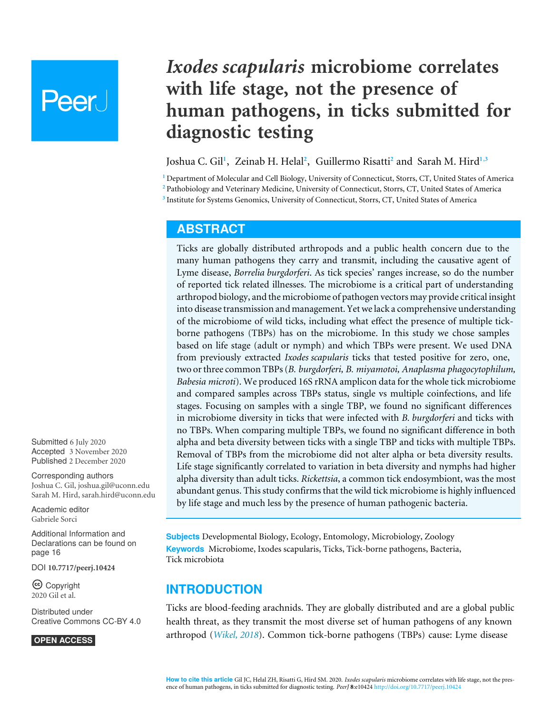# **Peer**

# *Ixodes scapularis* **microbiome correlates with life stage, not the presence of human pathogens, in ticks submitted for diagnostic testing**

# <span id="page-0-5"></span><span id="page-0-4"></span><span id="page-0-3"></span>Joshua C. Gil**[1](#page-0-0)** , Zeinab H. Helal**[2](#page-0-1)** , Guillermo Risatti**[2](#page-0-1)** and Sarah M. Hird**[1](#page-0-0)**,**[3](#page-0-2)**

<span id="page-0-2"></span><span id="page-0-1"></span><span id="page-0-0"></span>**<sup>1</sup>** Department of Molecular and Cell Biology, University of Connecticut, Storrs, CT, United States of America **<sup>2</sup>** Pathobiology and Veterinary Medicine, University of Connecticut, Storrs, CT, United States of America **3** Institute for Systems Genomics, University of Connecticut, Storrs, CT, United States of America

# <span id="page-0-6"></span>**ABSTRACT**

Ticks are globally distributed arthropods and a public health concern due to the many human pathogens they carry and transmit, including the causative agent of Lyme disease, *Borrelia burgdorferi*. As tick species' ranges increase, so do the number of reported tick related illnesses. The microbiome is a critical part of understanding arthropod biology, and the microbiome of pathogen vectors may provide critical insight into disease transmission and management. Yet we lack a comprehensive understanding of the microbiome of wild ticks, including what effect the presence of multiple tickborne pathogens (TBPs) has on the microbiome. In this study we chose samples based on life stage (adult or nymph) and which TBPs were present. We used DNA from previously extracted *Ixodes scapularis* ticks that tested positive for zero, one, two or three common TBPs (*B. burgdorferi, B. miyamotoi, Anaplasma phagocytophilum, Babesia microti*). We produced 16S rRNA amplicon data for the whole tick microbiome and compared samples across TBPs status, single vs multiple coinfections, and life stages. Focusing on samples with a single TBP, we found no significant differences in microbiome diversity in ticks that were infected with *B. burgdorferi* and ticks with no TBPs. When comparing multiple TBPs, we found no significant difference in both alpha and beta diversity between ticks with a single TBP and ticks with multiple TBPs. Removal of TBPs from the microbiome did not alter alpha or beta diversity results. Life stage significantly correlated to variation in beta diversity and nymphs had higher alpha diversity than adult ticks. *Rickettsia*, a common tick endosymbiont, was the most abundant genus. This study confirms that the wild tick microbiome is highly influenced by life stage and much less by the presence of human pathogenic bacteria.

**Subjects** Developmental Biology, Ecology, Entomology, Microbiology, Zoology **Keywords** Microbiome, Ixodes scapularis, Ticks, Tick-borne pathogens, Bacteria, Tick microbiota

# **INTRODUCTION**

Ticks are blood-feeding arachnids. They are globally distributed and are a global public health threat, as they transmit the most diverse set of human pathogens of any known arthropod (*[Wikel, 2018](#page-20-0)*). Common tick-borne pathogens (TBPs) cause: Lyme disease

Submitted 6 July 2020 Accepted 3 November 2020 Published 2 December 2020

Corresponding authors Joshua C. Gil, [joshua.gil@uconn.edu](mailto:joshua.gil@uconn.edu) Sarah M. Hird, [sarah.hird@uconn.edu](mailto:sarah.hird@uconn.edu)

[Academic editor](https://peerj.com/academic-boards/editors/) [Gabriele Sorci](https://peerj.com/academic-boards/editors/)

[Additional Information and](#page-15-0) [Declarations can be found on](#page-15-0) [page 16](#page-15-0)

DOI **[10.7717/peerj.10424](http://dx.doi.org/10.7717/peerj.10424)**

Copyright 2020 Gil et al.

[Distributed under](http://creativecommons.org/licenses/by/4.0/) [Creative Commons CC-BY 4.0](http://creativecommons.org/licenses/by/4.0/)

**OPEN ACCESS**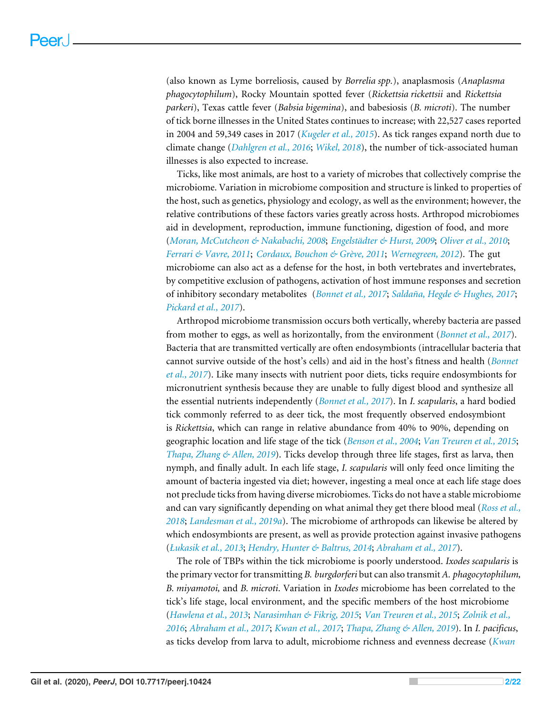(also known as Lyme borreliosis, caused by *Borrelia spp.*), anaplasmosis (*Anaplasma phagocytophilum*), Rocky Mountain spotted fever (*Rickettsia rickettsii* and *Rickettsia parkeri*), Texas cattle fever (*Babsia bigemina*), and babesiosis (*B. microti*). The number of tick borne illnesses in the United States continues to increase; with 22,527 cases reported in 2004 and 59,349 cases in 2017 (*[Kugeler et al., 2015](#page-18-0)*). As tick ranges expand north due to climate change (*[Dahlgren et al., 2016](#page-17-0)*; *[Wikel, 2018](#page-20-0)*), the number of tick-associated human illnesses is also expected to increase.

Ticks, like most animals, are host to a variety of microbes that collectively comprise the microbiome. Variation in microbiome composition and structure is linked to properties of the host, such as genetics, physiology and ecology, as well as the environment; however, the relative contributions of these factors varies greatly across hosts. Arthropod microbiomes aid in development, reproduction, immune functioning, digestion of food, and more (*[Moran, McCutcheon & Nakabachi, 2008](#page-19-0)*; *[Engelstädter & Hurst, 2009](#page-17-1)*; *[Oliver et al., 2010](#page-19-1)*; *[Ferrari & Vavre, 2011](#page-18-1)*; *[Cordaux, Bouchon & Grève, 2011](#page-17-2)*; *[Wernegreen, 2012](#page-20-1)*). The gut microbiome can also act as a defense for the host, in both vertebrates and invertebrates, by competitive exclusion of pathogens, activation of host immune responses and secretion of inhibitory secondary metabolites (*[Bonnet et al., 2017](#page-17-3)*; *[Saldaña, Hegde & Hughes, 2017](#page-20-2)*; *[Pickard et al.,](#page-19-1) [2017](#page-19-1)*).

Arthropod microbiome transmission occurs both vertically, whereby bacteria are passed from mother to eggs, as well as horizontally, from the environment (*[Bonnet et al., 2017](#page-17-3)*). Bacteria that are transmitted vertically are often endosymbionts (intracellular bacteria that cannot survive outside of the host's cells) and aid in the host's fitness and health (*[Bonnet](#page-17-3) [et al., 2017](#page-17-3)*). Like many insects with nutrient poor diets, ticks require endosymbionts for micronutrient synthesis because they are unable to fully digest blood and synthesize all the essential nutrients independently (*[Bonnet et al., 2017](#page-17-3)*). In *I. scapularis*, a hard bodied tick commonly referred to as deer tick, the most frequently observed endosymbiont is *Rickettsia*, which can range in relative abundance from 40% to 90%, depending on geographic location and life stage of the tick (*[Benson et al., 2004](#page-16-0)*; *[Van Treuren et al., 2015](#page-20-3)*; *[Thapa, Zhang & Allen, 2019](#page-20-4)*). Ticks develop through three life stages, first as larva, then nymph, and finally adult. In each life stage, *I. scapularis* will only feed once limiting the amount of bacteria ingested via diet; however, ingesting a meal once at each life stage does not preclude ticks from having diverse microbiomes. Ticks do not have a stable microbiome and can vary significantly depending on what animal they get there blood meal (*[Ross et al.,](#page-20-5) [2018](#page-20-5)*; *[Landesman et al., 2019a](#page-18-2)*). The microbiome of arthropods can likewise be altered by which endosymbionts are present, as well as provide protection against invasive pathogens (*[Łukasik et al., 2013](#page-19-2)*; *[Hendry, Hunter & Baltrus, 2014](#page-18-3)*; *[Abraham et al., 2017](#page-16-1)*).

The role of TBPs within the tick microbiome is poorly understood. *Ixodes scapularis* is the primary vector for transmitting *B. burgdorferi* but can also transmit *A. phagocytophilum, B. miyamotoi,* and *B. microti*. Variation in *Ixodes* microbiome has been correlated to the tick's life stage, local environment, and the specific members of the host microbiome (*[Hawlena et al., 2013](#page-18-4)*; *[Narasimhan & Fikrig, 2015](#page-19-3)*; *[Van Treuren et al., 2015](#page-20-3)*; *[Zolnik et al.,](#page-21-0) [2016](#page-21-0)*; *[Abraham et al., 2017](#page-16-1)*; *[Kwan et al., 2017](#page-18-5)*; *[Thapa, Zhang & Allen, 2019](#page-20-4)*). In *I. pacificus*, as ticks develop from larva to adult, microbiome richness and evenness decrease (*[Kwan](#page-18-5)*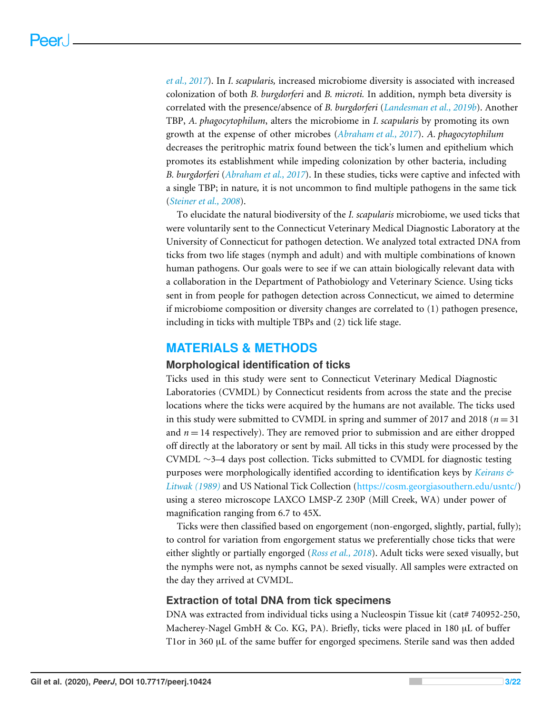*[et al., 2017](#page-18-5)*). In *I. scapularis,* increased microbiome diversity is associated with increased colonization of both *B. burgdorferi* and *B. microti.* In addition, nymph beta diversity is correlated with the presence/absence of *B. burgdorferi* (*[Landesman et al., 2019b](#page-18-6)*). Another TBP, *A. phagocytophilum*, alters the microbiome in *I. scapularis* by promoting its own growth at the expense of other microbes (*[Abraham et al., 2017](#page-16-1)*). *A. phagocytophilum* decreases the peritrophic matrix found between the tick's lumen and epithelium which promotes its establishment while impeding colonization by other bacteria, including *B. burgdorferi* (*[Abraham et al., 2017](#page-16-1)*). In these studies, ticks were captive and infected with a single TBP; in nature*,* it is not uncommon to find multiple pathogens in the same tick (*[Steiner et al., 2008](#page-20-6)*).

To elucidate the natural biodiversity of the *I. scapularis* microbiome, we used ticks that were voluntarily sent to the Connecticut Veterinary Medical Diagnostic Laboratory at the University of Connecticut for pathogen detection. We analyzed total extracted DNA from ticks from two life stages (nymph and adult) and with multiple combinations of known human pathogens. Our goals were to see if we can attain biologically relevant data with a collaboration in the Department of Pathobiology and Veterinary Science. Using ticks sent in from people for pathogen detection across Connecticut, we aimed to determine if microbiome composition or diversity changes are correlated to (1) pathogen presence, including in ticks with multiple TBPs and (2) tick life stage.

# **MATERIALS & METHODS**

#### **Morphological identification of ticks**

Ticks used in this study were sent to Connecticut Veterinary Medical Diagnostic Laboratories (CVMDL) by Connecticut residents from across the state and the precise locations where the ticks were acquired by the humans are not available. The ticks used in this study were submitted to CVMDL in spring and summer of 2017 and 2018 ( $n = 31$ ) and  $n = 14$  respectively). They are removed prior to submission and are either dropped off directly at the laboratory or sent by mail. All ticks in this study were processed by the CVMDL ∼3–4 days post collection. Ticks submitted to CVMDL for diagnostic testing purposes were morphologically identified according to identification keys by *[Keirans &](#page-18-7) [Litwak \(1989\)](#page-18-7)* and US National Tick Collection [\(https://cosm.georgiasouthern.edu/usntc/\)](https://cosm.georgiasouthern.edu/usntc/) using a stereo microscope LAXCO LMSP-Z 230P (Mill Creek, WA) under power of magnification ranging from 6.7 to 45X.

Ticks were then classified based on engorgement (non-engorged, slightly, partial, fully); to control for variation from engorgement status we preferentially chose ticks that were either slightly or partially engorged (*[Ross et al., 2018](#page-20-5)*). Adult ticks were sexed visually, but the nymphs were not, as nymphs cannot be sexed visually. All samples were extracted on the day they arrived at CVMDL.

# **Extraction of total DNA from tick specimens**

DNA was extracted from individual ticks using a Nucleospin Tissue kit (cat# 740952-250, Macherey-Nagel GmbH & Co. KG, PA). Briefly, ticks were placed in 180 µL of buffer T1or in 360 µL of the same buffer for engorged specimens. Sterile sand was then added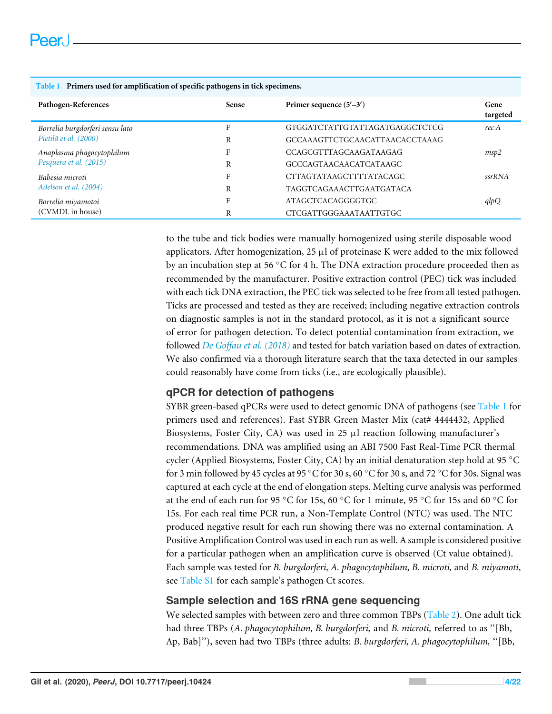| Tuble 1 Thiners used for umphileurion or specific puthogens in the specificitis. |              |                                 |                  |
|----------------------------------------------------------------------------------|--------------|---------------------------------|------------------|
| Pathogen-References                                                              | <b>Sense</b> | Primer sequence $(5'–3')$       | Gene<br>targeted |
| Borrelia burgdorferi sensu lato                                                  | F            | GTGGATCTATTGTATTAGATGAGGCTCTCG  | rec A            |
| Pietilä et al. (2000)                                                            | R            | GCCAAAGTTCTGCAACATTAACACCTAAAG  |                  |
| Anaplasma phagocytophilum                                                        | F            | CCAGCGTTTAGCAAGATAAGAG          | msp2             |
| Pesquera et al. (2015)                                                           | R            | GCCCAGTAACAACATCATAAGC          |                  |
| Babesia microti                                                                  | F            | CTTAGTATAAGCTTTTATACAGC         | ssrRNA           |
| Adelson et al. (2004)                                                            | R            | <b>TAGGTCAGAAACTTGAATGATACA</b> |                  |
| Borrelia miyamotoi                                                               | F            | ATAGCTCACAGGGGTGC               | qlpQ             |
| (CVMDL in house)                                                                 | R            | CTCGATTGGGAAATAATTGTGC          |                  |

#### <span id="page-3-0"></span>**Table 1 Primers used for amplification of specific pathogens in tick specimens.**

to the tube and tick bodies were manually homogenized using sterile disposable wood applicators. After homogenization,  $25 \mu l$  of proteinase K were added to the mix followed by an incubation step at 56 ◦C for 4 h. The DNA extraction procedure proceeded then as recommended by the manufacturer. Positive extraction control (PEC) tick was included with each tick DNA extraction, the PEC tick was selected to be free from all tested pathogen. Ticks are processed and tested as they are received; including negative extraction controls on diagnostic samples is not in the standard protocol, as it is not a significant source of error for pathogen detection. To detect potential contamination from extraction, we followed *[De Goffau et al. \(2018\)](#page-17-4)* and tested for batch variation based on dates of extraction. We also confirmed via a thorough literature search that the taxa detected in our samples could reasonably have come from ticks (i.e., are ecologically plausible).

# **qPCR for detection of pathogens**

SYBR green-based qPCRs were used to detect genomic DNA of pathogens (see [Table 1](#page-3-0) for primers used and references). Fast SYBR Green Master Mix (cat# 4444432, Applied Biosystems, Foster City, CA) was used in 25  $\mu$ l reaction following manufacturer's recommendations. DNA was amplified using an ABI 7500 Fast Real-Time PCR thermal cycler (Applied Biosystems, Foster City, CA) by an initial denaturation step hold at 95 ◦C for 3 min followed by 45 cycles at 95 °C for 30 s, 60 °C for 30 s, and 72 °C for 30s. Signal was captured at each cycle at the end of elongation steps. Melting curve analysis was performed at the end of each run for 95 ◦C for 15s, 60 ◦C for 1 minute, 95 ◦C for 15s and 60 ◦C for 15s. For each real time PCR run, a Non-Template Control (NTC) was used. The NTC produced negative result for each run showing there was no external contamination. A Positive Amplification Control was used in each run as well. A sample is considered positive for a particular pathogen when an amplification curve is observed (Ct value obtained). Each sample was tested for *B. burgdorferi, A. phagocytophilum, B. microti,* and *B. miyamoti*, see [Table S1](http://dx.doi.org/10.7717/peerj.10424#supp-1) for each sample's pathogen Ct scores.

# **Sample selection and 16S rRNA gene sequencing**

We selected samples with between zero and three common TBPs [\(Table 2\)](#page-4-0). One adult tick had three TBPs (*A. phagocytophilum, B. burgdorferi,* and *B. microti,* referred to as ''[Bb, Ap, Bab]''), seven had two TBPs (three adults: *B. burgdorferi, A. phagocytophilum,* ''[Bb,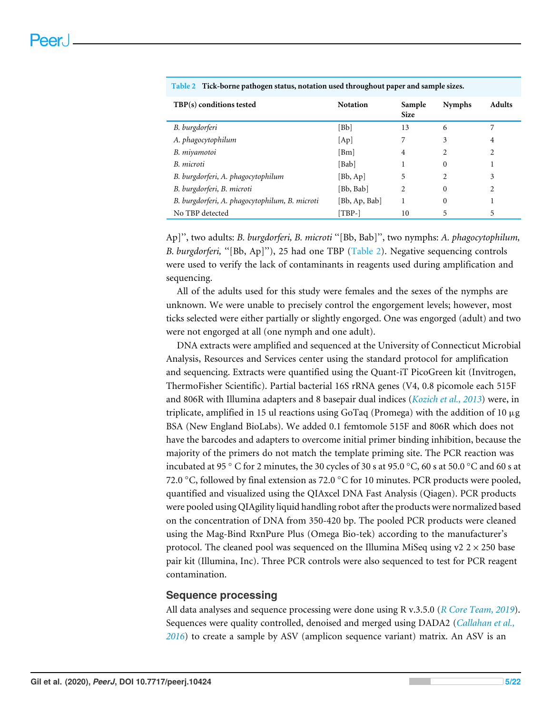| TBP(s) conditions tested                       | <b>Notation</b>             | Sample<br><b>Size</b> | <b>Nymphs</b> | <b>Adults</b> |
|------------------------------------------------|-----------------------------|-----------------------|---------------|---------------|
| B. burgdorferi                                 | [Bb]                        | 13                    | 6             |               |
| A. phagocytophilum                             | [Ap]                        |                       | 3             | 4             |
| B. miyamotoi                                   | [Bm]                        | 4                     | 2             | 2             |
| B. microti                                     | [Bab]                       |                       | 0             |               |
| B. burgdorferi, A. phagocytophilum             | [Bb, Ap]                    | 5                     | 2             | 3             |
| B. burgdorferi, B. microti                     | Bb, Babl                    | 2                     | $\Omega$      | 2             |
| B. burgdorferi, A. phagocytophilum, B. microti | [Bb, Ap, Bab]               |                       | $\Omega$      |               |
| No TBP detected                                | $\lceil \text{TBP-} \rceil$ | 10                    | 5             | 5             |

<span id="page-4-0"></span>**Table 2 Tick-borne pathogen status, notation used throughout paper and sample sizes.**

Ap]'', two adults: *B. burgdorferi, B. microti* ''[Bb, Bab]'', two nymphs: *A. phagocytophilum, B. burgdorferi,* ''[Bb, Ap]''), 25 had one TBP [\(Table 2\)](#page-4-0). Negative sequencing controls were used to verify the lack of contaminants in reagents used during amplification and sequencing.

All of the adults used for this study were females and the sexes of the nymphs are unknown. We were unable to precisely control the engorgement levels; however, most ticks selected were either partially or slightly engorged. One was engorged (adult) and two were not engorged at all (one nymph and one adult).

DNA extracts were amplified and sequenced at the University of Connecticut Microbial Analysis, Resources and Services center using the standard protocol for amplification and sequencing. Extracts were quantified using the Quant-iT PicoGreen kit (Invitrogen, ThermoFisher Scientific). Partial bacterial 16S rRNA genes (V4, 0.8 picomole each 515F and 806R with Illumina adapters and 8 basepair dual indices (*[Kozich et al., 2013](#page-18-8)*) were, in triplicate, amplified in 15 ul reactions using GoTaq (Promega) with the addition of 10  $\mu$ g BSA (New England BioLabs). We added 0.1 femtomole 515F and 806R which does not have the barcodes and adapters to overcome initial primer binding inhibition, because the majority of the primers do not match the template priming site. The PCR reaction was incubated at 95 ◦ C for 2 minutes, the 30 cycles of 30 s at 95.0 ◦C, 60 s at 50.0 ◦C and 60 s at 72.0  $\degree$ C, followed by final extension as 72.0  $\degree$ C for 10 minutes. PCR products were pooled, quantified and visualized using the QIAxcel DNA Fast Analysis (Qiagen). PCR products were pooled using QIAgility liquid handling robot after the products were normalized based on the concentration of DNA from 350-420 bp. The pooled PCR products were cleaned using the Mag-Bind RxnPure Plus (Omega Bio-tek) according to the manufacturer's protocol. The cleaned pool was sequenced on the Illumina MiSeq using  $v2 \times 250$  base pair kit (Illumina, Inc). Three PCR controls were also sequenced to test for PCR reagent contamination.

#### **Sequence processing**

All data analyses and sequence processing were done using R v.3.5.0 (*[R Core Team, 2019](#page-20-7)*). Sequences were quality controlled, denoised and merged using DADA2 (*[Callahan et al.,](#page-17-5) [2016](#page-17-5)*) to create a sample by ASV (amplicon sequence variant) matrix. An ASV is an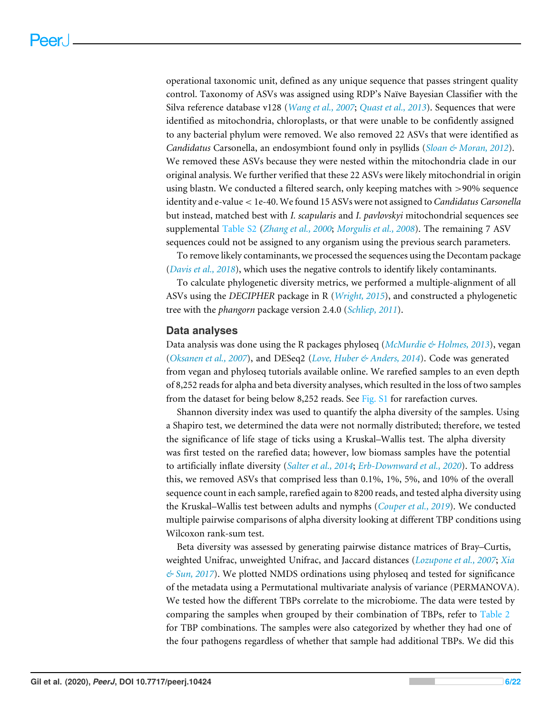operational taxonomic unit, defined as any unique sequence that passes stringent quality control. Taxonomy of ASVs was assigned using RDP's Naïve Bayesian Classifier with the Silva reference database v128 (*[Wang et al., 2007](#page-20-8)*; *[Quast et al., 2013](#page-20-9)*). Sequences that were identified as mitochondria, chloroplasts, or that were unable to be confidently assigned to any bacterial phylum were removed. We also removed 22 ASVs that were identified as *Candidatus* Carsonella, an endosymbiont found only in psyllids (*[Sloan & Moran, 2012](#page-20-10)*). We removed these ASVs because they were nested within the mitochondria clade in our original analysis. We further verified that these 22 ASVs were likely mitochondrial in origin using blastn. We conducted a filtered search, only keeping matches with >90% sequence identity and e-value < 1e-40. We found 15 ASVs were not assigned to *Candidatus Carsonella* but instead, matched best with *I. scapularis* and *I. pavlovskyi* mitochondrial sequences see supplemental [Table S2](http://dx.doi.org/10.7717/peerj.10424#supp-2) (*[Zhang et al., 2000](#page-21-1)*; *[Morgulis et al., 2008](#page-19-6)*). The remaining 7 ASV sequences could not be assigned to any organism using the previous search parameters.

To remove likely contaminants, we processed the sequences using the Decontam package (*[Davis et al., 2018](#page-17-6)*), which uses the negative controls to identify likely contaminants.

To calculate phylogenetic diversity metrics, we performed a multiple-alignment of all ASVs using the *DECIPHER* package in R (*[Wright, 2015](#page-21-2)*), and constructed a phylogenetic tree with the *phangorn* package version 2.4.0 (*[Schliep, 2011](#page-20-11)*).

#### **Data analyses**

Data analysis was done using the R packages phyloseq (*[McMurdie & Holmes, 2013](#page-19-7)*), vegan (*[Oksanen et al., 2007](#page-19-8)*), and DESeq2 (*[Love, Huber & Anders, 2014](#page-19-9)*). Code was generated from vegan and phyloseq tutorials available online. We rarefied samples to an even depth of 8,252 reads for alpha and beta diversity analyses, which resulted in the loss of two samples from the dataset for being below 8,252 reads. See [Fig. S1](http://dx.doi.org/10.7717/peerj.10424#supp-8) for rarefaction curves.

Shannon diversity index was used to quantify the alpha diversity of the samples. Using a Shapiro test, we determined the data were not normally distributed; therefore, we tested the significance of life stage of ticks using a Kruskal–Wallis test. The alpha diversity was first tested on the rarefied data; however, low biomass samples have the potential to artificially inflate diversity (*[Salter et al., 2014](#page-20-12)*; *[Erb-Downward et al., 2020](#page-18-9)*). To address this, we removed ASVs that comprised less than 0.1%, 1%, 5%, and 10% of the overall sequence count in each sample, rarefied again to 8200 reads, and tested alpha diversity using the Kruskal–Wallis test between adults and nymphs (*[Couper et al., 2019](#page-17-7)*). We conducted multiple pairwise comparisons of alpha diversity looking at different TBP conditions using Wilcoxon rank-sum test.

Beta diversity was assessed by generating pairwise distance matrices of Bray–Curtis, weighted Unifrac, unweighted Unifrac, and Jaccard distances (*[Lozupone et al., 2007](#page-19-10)*; *[Xia](#page-21-3) [& Sun, 2017](#page-21-3)*). We plotted NMDS ordinations using phyloseq and tested for significance of the metadata using a Permutational multivariate analysis of variance (PERMANOVA). We tested how the different TBPs correlate to the microbiome. The data were tested by comparing the samples when grouped by their combination of TBPs, refer to [Table 2](#page-4-0) for TBP combinations. The samples were also categorized by whether they had one of the four pathogens regardless of whether that sample had additional TBPs. We did this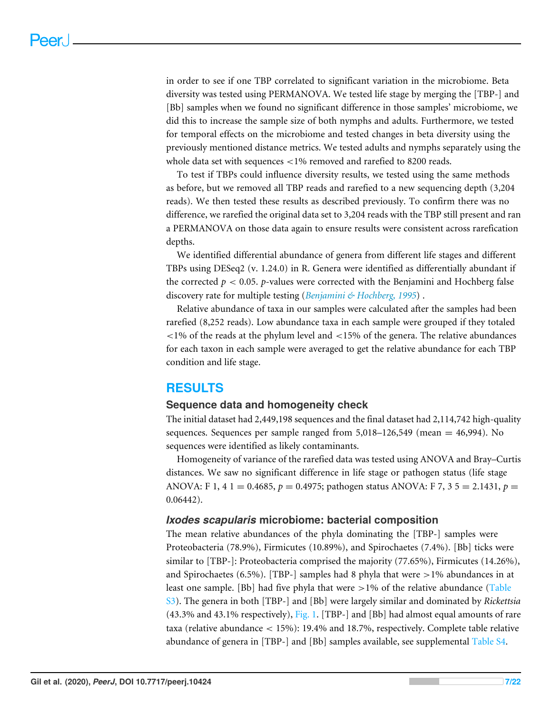in order to see if one TBP correlated to significant variation in the microbiome. Beta diversity was tested using PERMANOVA. We tested life stage by merging the [TBP-] and [Bb] samples when we found no significant difference in those samples' microbiome, we did this to increase the sample size of both nymphs and adults. Furthermore, we tested for temporal effects on the microbiome and tested changes in beta diversity using the previously mentioned distance metrics. We tested adults and nymphs separately using the whole data set with sequences <1% removed and rarefied to 8200 reads.

To test if TBPs could influence diversity results, we tested using the same methods as before, but we removed all TBP reads and rarefied to a new sequencing depth (3,204 reads). We then tested these results as described previously. To confirm there was no difference, we rarefied the original data set to 3,204 reads with the TBP still present and ran a PERMANOVA on those data again to ensure results were consistent across rarefication depths.

We identified differential abundance of genera from different life stages and different TBPs using DESeq2 (v. 1.24.0) in R. Genera were identified as differentially abundant if the corrected  $p < 0.05$ .  $p$ -values were corrected with the Benjamini and Hochberg false discovery rate for multiple testing (*[Benjamini & Hochberg, 1995](#page-16-3)*) .

Relative abundance of taxa in our samples were calculated after the samples had been rarefied (8,252 reads). Low abundance taxa in each sample were grouped if they totaled  $\langle$  = 1% of the reads at the phylum level and  $\langle$  = 15% of the genera. The relative abundances for each taxon in each sample were averaged to get the relative abundance for each TBP condition and life stage.

# **RESULTS**

#### **Sequence data and homogeneity check**

The initial dataset had 2,449,198 sequences and the final dataset had 2,114,742 high-quality sequences. Sequences per sample ranged from  $5,018-126,549$  (mean  $= 46,994$ ). No sequences were identified as likely contaminants.

Homogeneity of variance of the rarefied data was tested using ANOVA and Bray–Curtis distances. We saw no significant difference in life stage or pathogen status (life stage ANOVA: F 1, 4 1 = 0.4685, *p* = 0.4975; pathogen status ANOVA: F 7, 3 5 = 2.1431, *p* = 0.06442).

#### *Ixodes scapularis* **microbiome: bacterial composition**

The mean relative abundances of the phyla dominating the [TBP-] samples were Proteobacteria (78.9%), Firmicutes (10.89%), and Spirochaetes (7.4%). [Bb] ticks were similar to [TBP-]: Proteobacteria comprised the majority (77.65%), Firmicutes (14.26%), and Spirochaetes (6.5%). [TBP-] samples had 8 phyla that were  $>1\%$  abundances in at least one sample. [Bb] had five phyla that were  $>1\%$  of the relative abundance [\(Table](http://dx.doi.org/10.7717/peerj.10424#supp-3) [S3\)](http://dx.doi.org/10.7717/peerj.10424#supp-3). The genera in both [TBP-] and [Bb] were largely similar and dominated by *Rickettsia* (43.3% and 43.1% respectively), [Fig. 1.](#page-7-0) [TBP-] and [Bb] had almost equal amounts of rare taxa (relative abundance < 15%): 19.4% and 18.7%, respectively. Complete table relative abundance of genera in [TBP-] and [Bb] samples available, see supplemental [Table S4.](http://dx.doi.org/10.7717/peerj.10424#supp-4)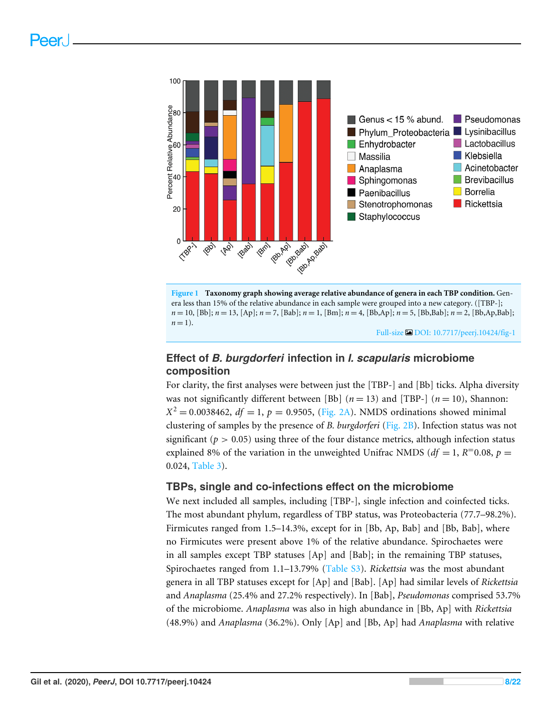<span id="page-7-0"></span>



Full-size [DOI: 10.7717/peerj.10424/fig-1](https://doi.org/10.7717/peerj.10424/fig-1)

# **Effect of** *B. burgdorferi* **infection in** *I. scapularis* **microbiome composition**

For clarity, the first analyses were between just the [TBP-] and [Bb] ticks. Alpha diversity was not significantly different between [Bb]  $(n = 13)$  and [TBP-]  $(n = 10)$ , Shannon:  $X^2 = 0.0038462$ ,  $df = 1$ ,  $p = 0.9505$ , [\(Fig. 2A\)](#page-8-0). NMDS ordinations showed minimal clustering of samples by the presence of *B. burgdorferi* [\(Fig. 2B\)](#page-8-0). Infection status was not significant ( $p > 0.05$ ) using three of the four distance metrics, although infection status explained 8% of the variation in the unweighted Unifrac NMDS ( $df = 1$ ,  $R=0.08$ ,  $p =$ 0.024, [Table 3\)](#page-9-0).

#### **TBPs, single and co-infections effect on the microbiome**

We next included all samples, including [TBP-], single infection and coinfected ticks. The most abundant phylum, regardless of TBP status, was Proteobacteria (77.7–98.2%). Firmicutes ranged from 1.5–14.3%, except for in [Bb, Ap, Bab] and [Bb, Bab], where no Firmicutes were present above 1% of the relative abundance. Spirochaetes were in all samples except TBP statuses [Ap] and [Bab]; in the remaining TBP statuses, Spirochaetes ranged from 1.1–13.79% [\(Table S3\)](http://dx.doi.org/10.7717/peerj.10424#supp-3). *Rickettsia* was the most abundant genera in all TBP statuses except for [Ap] and [Bab]. [Ap] had similar levels of *Rickettsia* and *Anaplasma* (25.4% and 27.2% respectively). In [Bab], *Pseudomonas* comprised 53.7% of the microbiome. *Anaplasma* was also in high abundance in [Bb, Ap] with *Rickettsia* (48.9%) and *Anaplasma* (36.2%). Only [Ap] and [Bb, Ap] had *Anaplasma* with relative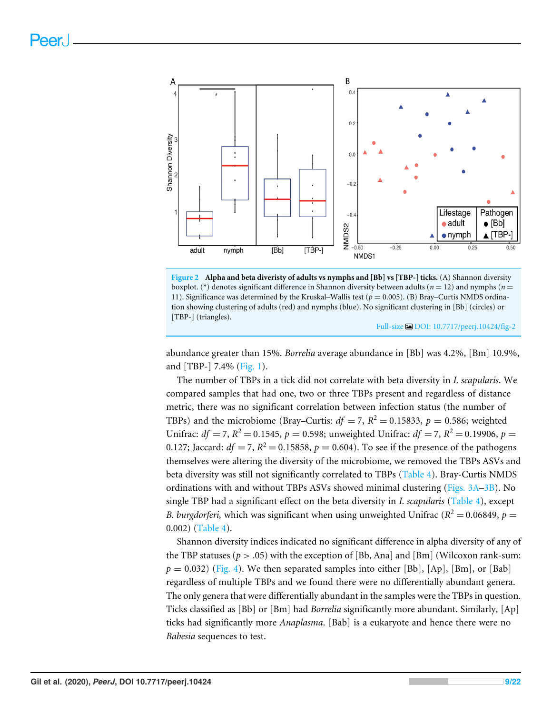<span id="page-8-0"></span>



Full-size [DOI: 10.7717/peerj.10424/fig-2](https://doi.org/10.7717/peerj.10424/fig-2)

abundance greater than 15%. *Borrelia* average abundance in [Bb] was 4.2%, [Bm] 10.9%, and [TBP-] 7.4% [\(Fig. 1\)](#page-7-0).

The number of TBPs in a tick did not correlate with beta diversity in *I. scapularis*. We compared samples that had one, two or three TBPs present and regardless of distance metric, there was no significant correlation between infection status (the number of TBPs) and the microbiome (Bray–Curtis:  $df = 7$ ,  $R^2 = 0.15833$ ,  $p = 0.586$ ; weighted Unifrac:  $df = 7$ ,  $R^2 = 0.1545$ ,  $p = 0.598$ ; unweighted Unifrac:  $df = 7$ ,  $R^2 = 0.19906$ ,  $p =$ 0.127; Jaccard:  $df = 7$ ,  $R^2 = 0.15858$ ,  $p = 0.604$ ). To see if the presence of the pathogens themselves were altering the diversity of the microbiome, we removed the TBPs ASVs and beta diversity was still not significantly correlated to TBPs [\(Table 4\)](#page-9-1). Bray-Curtis NMDS ordinations with and without TBPs ASVs showed minimal clustering [\(Figs. 3A–3B\)](#page-9-2). No single TBP had a significant effect on the beta diversity in *I. scapularis* [\(Table 4\)](#page-9-1), except *B. burgdorferi,* which was significant when using unweighted Unifrac ( $R^2 = 0.06849$ ,  $p =$ 0.002) [\(Table 4\)](#page-9-1).

Shannon diversity indices indicated no significant difference in alpha diversity of any of the TBP statuses ( $p > .05$ ) with the exception of [Bb, Ana] and [Bm] (Wilcoxon rank-sum:  $p = 0.032$ ) [\(Fig. 4\)](#page-10-0). We then separated samples into either [Bb], [Ap], [Bm], or [Bab] regardless of multiple TBPs and we found there were no differentially abundant genera. The only genera that were differentially abundant in the samples were the TBPs in question. Ticks classified as [Bb] or [Bm] had *Borrelia* significantly more abundant. Similarly, [Ap] ticks had significantly more *Anaplasma*. [Bab] is a eukaryote and hence there were no *Babesia* sequences to test.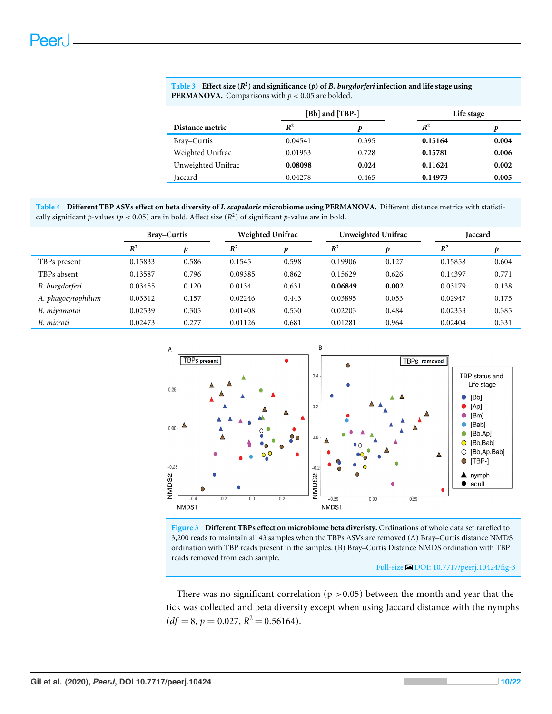|                    | [Bb] and [TBP-] |       | Life stage |       |
|--------------------|-----------------|-------|------------|-------|
| Distance metric    | $R^2$           | D     | $R^2$      | Ŋ     |
| Bray–Curtis        | 0.04541         | 0.395 | 0.15164    | 0.004 |
| Weighted Unifrac   | 0.01953         | 0.728 | 0.15781    | 0.006 |
| Unweighted Unifrac | 0.08098         | 0.024 | 0.11624    | 0.002 |
| Jaccard            | 0.04278         | 0.465 | 0.14973    | 0.005 |

<span id="page-9-0"></span>

| Table 3 Effect size $(R^2)$ and significance (p) of B. burgdorferi infection and life stage using |
|---------------------------------------------------------------------------------------------------|
| <b>PERMANOVA.</b> Comparisons with $p < 0.05$ are bolded.                                         |

<span id="page-9-1"></span>**Table 4 Different TBP ASVs effect on beta diversity of** *I. scapularis* **microbiome using PERMANOVA.** Different distance metrics with statistically significant *p*-values ( $p < 0.05$ ) are in bold. Affect size ( $R<sup>2</sup>$ ) of significant *p*-value are in bold.

|                    | <b>Bray–Curtis</b> |       | <b>Weighted Unifrac</b> |       | Unweighted Unifrac |       | <b>Jaccard</b> |       |
|--------------------|--------------------|-------|-------------------------|-------|--------------------|-------|----------------|-------|
|                    | $R^2$              |       | $R^2$                   |       | $R^2$              |       | $R^2$          |       |
| TBPs present       | 0.15833            | 0.586 | 0.1545                  | 0.598 | 0.19906            | 0.127 | 0.15858        | 0.604 |
| TBPs absent        | 0.13587            | 0.796 | 0.09385                 | 0.862 | 0.15629            | 0.626 | 0.14397        | 0.771 |
| B. burgdorferi     | 0.03455            | 0.120 | 0.0134                  | 0.631 | 0.06849            | 0.002 | 0.03179        | 0.138 |
| A. phagocytophilum | 0.03312            | 0.157 | 0.02246                 | 0.443 | 0.03895            | 0.053 | 0.02947        | 0.175 |
| B. miyamotoi       | 0.02539            | 0.305 | 0.01408                 | 0.530 | 0.02203            | 0.484 | 0.02353        | 0.385 |
| B. microti         | 0.02473            | 0.277 | 0.01126                 | 0.681 | 0.01281            | 0.964 | 0.02404        | 0.331 |

<span id="page-9-2"></span>

**Figure 3 Different TBPs effect on microbiome beta diveristy.** Ordinations of whole data set rarefied to 3,200 reads to maintain all 43 samples when the TBPs ASVs are removed (A) Bray–Curtis distance NMDS ordination with TBP reads present in the samples. (B) Bray–Curtis Distance NMDS ordination with TBP reads removed from each sample.

Full-size [DOI: 10.7717/peerj.10424/fig-3](https://doi.org/10.7717/peerj.10424/fig-3)

There was no significant correlation ( $p > 0.05$ ) between the month and year that the tick was collected and beta diversity except when using Jaccard distance with the nymphs  $(df = 8, p = 0.027, R<sup>2</sup> = 0.56164).$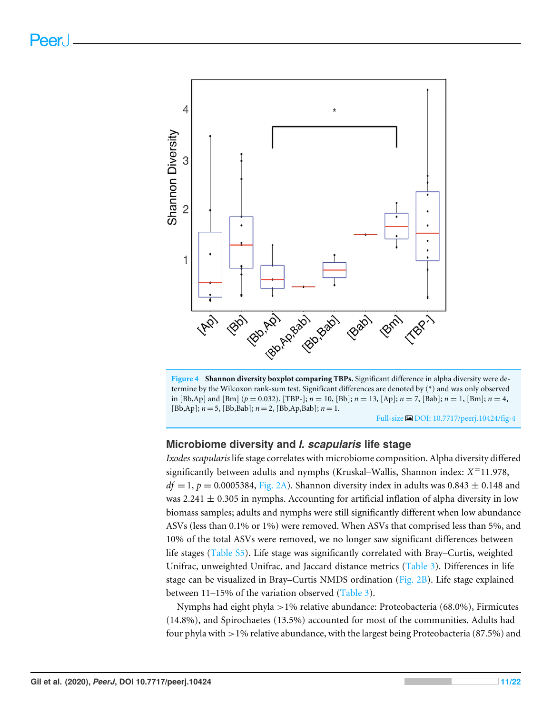<span id="page-10-0"></span>

**Figure 4 Shannon diversity boxplot comparing TBPs.** Significant difference in alpha diversity were determine by the Wilcoxon rank-sum test. Significant differences are denoted by (\*) and was only observed in [Bb,Ap] and [Bm] (*p* = 0.032). [TBP-]; *n* = 10, [Bb]; *n* = 13, [Ap]; *n* = 7, [Bab]; *n* = 1, [Bm]; *n* = 4, [Bb,Ap]; *n* = 5, [Bb,Bab]; *n* = 2, [Bb,Ap,Bab]; *n* = 1.

Full-size [DOI: 10.7717/peerj.10424/fig-4](https://doi.org/10.7717/peerj.10424/fig-4)

# **Microbiome diversity and** *I. scapularis* **life stage**

*Ixodes scapularis* life stage correlates with microbiome composition. Alpha diversity differed significantly between adults and nymphs (Kruskal–Wallis, Shannon index: *X* <sup>=</sup>11.978,  $df = 1$ ,  $p = 0.0005384$ , [Fig. 2A\)](#page-8-0). Shannon diversity index in adults was  $0.843 \pm 0.148$  and was 2.241  $\pm$  0.305 in nymphs. Accounting for artificial inflation of alpha diversity in low biomass samples; adults and nymphs were still significantly different when low abundance ASVs (less than 0.1% or 1%) were removed. When ASVs that comprised less than 5%, and 10% of the total ASVs were removed, we no longer saw significant differences between life stages [\(Table S5\)](http://dx.doi.org/10.7717/peerj.10424#supp-5). Life stage was significantly correlated with Bray–Curtis, weighted Unifrac, unweighted Unifrac, and Jaccard distance metrics [\(Table 3\)](#page-9-0). Differences in life stage can be visualized in Bray–Curtis NMDS ordination [\(Fig. 2B\)](#page-8-0). Life stage explained between 11–15% of the variation observed [\(Table 3\)](#page-9-0).

Nymphs had eight phyla >1% relative abundance: Proteobacteria (68.0%), Firmicutes (14.8%), and Spirochaetes (13.5%) accounted for most of the communities. Adults had four phyla with >1% relative abundance, with the largest being Proteobacteria (87.5%) and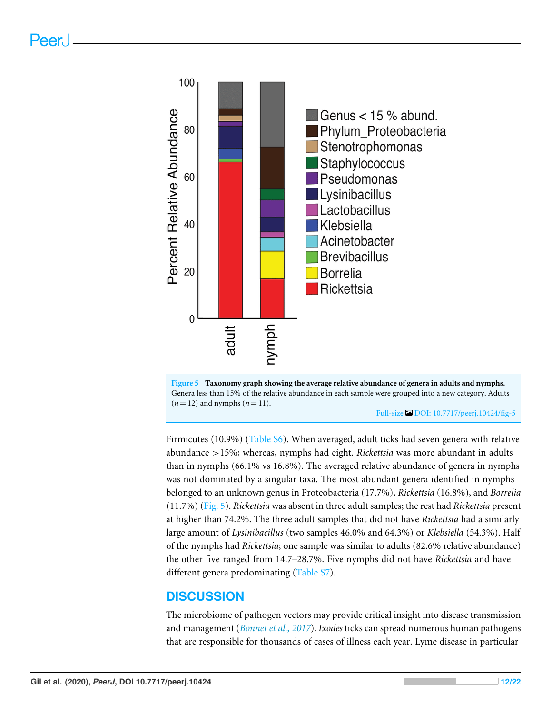<span id="page-11-0"></span>



Full-size [DOI: 10.7717/peerj.10424/fig-5](https://doi.org/10.7717/peerj.10424/fig-5)

Firmicutes (10.9%) [\(Table S6\)](http://dx.doi.org/10.7717/peerj.10424#supp-6). When averaged, adult ticks had seven genera with relative abundance >15%; whereas, nymphs had eight. *Rickettsia* was more abundant in adults than in nymphs (66.1% vs 16.8%). The averaged relative abundance of genera in nymphs was not dominated by a singular taxa. The most abundant genera identified in nymphs belonged to an unknown genus in Proteobacteria (17.7%), *Rickettsia* (16.8%), and *Borrelia* (11.7%) [\(Fig. 5\)](#page-11-0). *Rickettsia* was absent in three adult samples; the rest had *Rickettsia* present at higher than 74.2%. The three adult samples that did not have *Rickettsia* had a similarly large amount of *Lysinibacillus* (two samples 46.0% and 64.3%) or *Klebsiella* (54.3%). Half of the nymphs had *Rickettsia*; one sample was similar to adults (82.6% relative abundance) the other five ranged from 14.7–28.7%. Five nymphs did not have *Rickettsia* and have different genera predominating [\(Table S7\)](http://dx.doi.org/10.7717/peerj.10424#supp-7).

# **DISCUSSION**

The microbiome of pathogen vectors may provide critical insight into disease transmission and management (*[Bonnet et al., 2017](#page-17-3)*). *Ixodes* ticks can spread numerous human pathogens that are responsible for thousands of cases of illness each year. Lyme disease in particular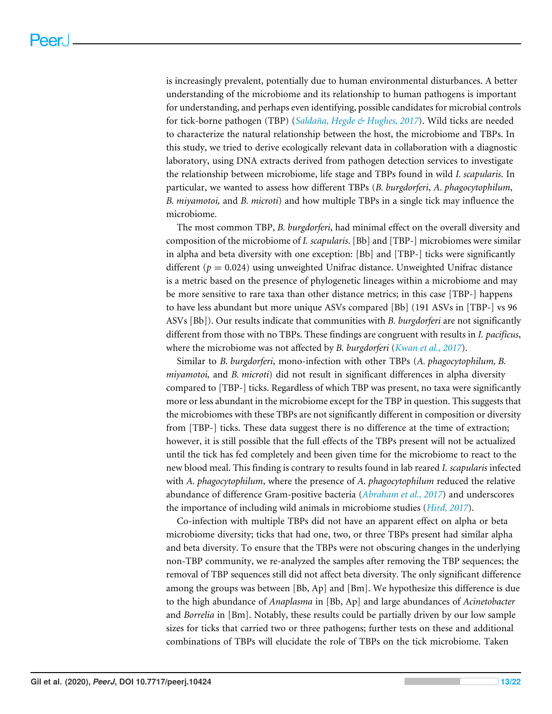is increasingly prevalent, potentially due to human environmental disturbances. A better understanding of the microbiome and its relationship to human pathogens is important for understanding, and perhaps even identifying, possible candidates for microbial controls for tick-borne pathogen (TBP) (*[Saldaña, Hegde & Hughes, 2017](#page-20-2)*). Wild ticks are needed to characterize the natural relationship between the host, the microbiome and TBPs. In this study, we tried to derive ecologically relevant data in collaboration with a diagnostic laboratory, using DNA extracts derived from pathogen detection services to investigate the relationship between microbiome, life stage and TBPs found in wild *I. scapularis*. In particular, we wanted to assess how different TBPs (*B. burgdorferi*, *A. phagocytophilum*, *B. miyamotoi,* and *B. microti*) and how multiple TBPs in a single tick may influence the microbiome.

The most common TBP, *B. burgdorferi*, had minimal effect on the overall diversity and composition of the microbiome of *I. scapularis*. [Bb] and [TBP-] microbiomes were similar in alpha and beta diversity with one exception: [Bb] and [TBP-] ticks were significantly different  $(p = 0.024)$  using unweighted Unifrac distance. Unweighted Unifrac distance is a metric based on the presence of phylogenetic lineages within a microbiome and may be more sensitive to rare taxa than other distance metrics; in this case [TBP-] happens to have less abundant but more unique ASVs compared [Bb] (191 ASVs in [TBP-] vs 96 ASVs [Bb]). Our results indicate that communities with *B. burgdorferi* are not significantly different from those with no TBPs. These findings are congruent with results in *I. pacificus*, where the microbiome was not affected by *B. burgdorferi* (*[Kwan et al., 2017](#page-18-5)*).

Similar to *B. burgdorferi*, mono-infection with other TBPs (*A. phagocytophilum, B. miyamotoi,* and *B. microti*) did not result in significant differences in alpha diversity compared to [TBP-] ticks. Regardless of which TBP was present, no taxa were significantly more or less abundant in the microbiome except for the TBP in question. This suggests that the microbiomes with these TBPs are not significantly different in composition or diversity from [TBP-] ticks. These data suggest there is no difference at the time of extraction; however, it is still possible that the full effects of the TBPs present will not be actualized until the tick has fed completely and been given time for the microbiome to react to the new blood meal. This finding is contrary to results found in lab reared *I. scapularis* infected with *A. phagocytophilum*, where the presence of *A. phagocytophilum* reduced the relative abundance of difference Gram-positive bacteria (*[Abraham et al., 2017](#page-16-1)*) and underscores the importance of including wild animals in microbiome studies (*[Hird, 2017](#page-18-10)*).

Co-infection with multiple TBPs did not have an apparent effect on alpha or beta microbiome diversity; ticks that had one, two, or three TBPs present had similar alpha and beta diversity. To ensure that the TBPs were not obscuring changes in the underlying non-TBP community, we re-analyzed the samples after removing the TBP sequences; the removal of TBP sequences still did not affect beta diversity. The only significant difference among the groups was between [Bb, Ap] and [Bm]. We hypothesize this difference is due to the high abundance of *Anaplasma* in [Bb, Ap] and large abundances of *Acinetobacter* and *Borrelia* in [Bm]. Notably, these results could be partially driven by our low sample sizes for ticks that carried two or three pathogens; further tests on these and additional combinations of TBPs will elucidate the role of TBPs on the tick microbiome. Taken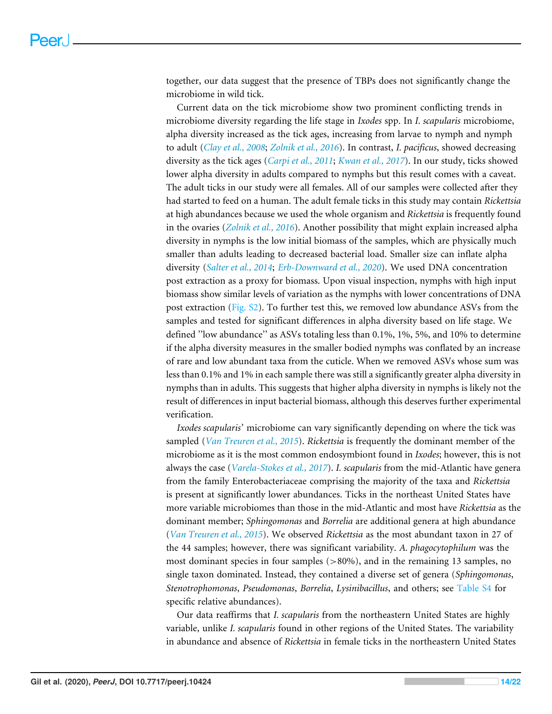together, our data suggest that the presence of TBPs does not significantly change the microbiome in wild tick.

Current data on the tick microbiome show two prominent conflicting trends in microbiome diversity regarding the life stage in *Ixodes* spp. In *I. scapularis* microbiome, alpha diversity increased as the tick ages, increasing from larvae to nymph and nymph to adult (*[Clay et al., 2008](#page-17-8)*; *[Zolnik et al., 2016](#page-21-0)*). In contrast, *I. pacificus*, showed decreasing diversity as the tick ages (*[Carpi et al., 2011](#page-17-9)*; *[Kwan et al., 2017](#page-18-5)*). In our study, ticks showed lower alpha diversity in adults compared to nymphs but this result comes with a caveat. The adult ticks in our study were all females. All of our samples were collected after they had started to feed on a human. The adult female ticks in this study may contain *Rickettsia* at high abundances because we used the whole organism and *Rickettsia* is frequently found in the ovaries (*[Zolnik et al., 2016](#page-21-0)*). Another possibility that might explain increased alpha diversity in nymphs is the low initial biomass of the samples, which are physically much smaller than adults leading to decreased bacterial load. Smaller size can inflate alpha diversity (*[Salter et al., 2014](#page-20-12)*; *[Erb-Downward et al., 2020](#page-18-9)*). We used DNA concentration post extraction as a proxy for biomass. Upon visual inspection, nymphs with high input biomass show similar levels of variation as the nymphs with lower concentrations of DNA post extraction [\(Fig. S2\)](http://dx.doi.org/10.7717/peerj.10424#supp-9). To further test this, we removed low abundance ASVs from the samples and tested for significant differences in alpha diversity based on life stage. We defined ''low abundance'' as ASVs totaling less than 0.1%, 1%, 5%, and 10% to determine if the alpha diversity measures in the smaller bodied nymphs was conflated by an increase of rare and low abundant taxa from the cuticle. When we removed ASVs whose sum was less than 0.1% and 1% in each sample there was still a significantly greater alpha diversity in nymphs than in adults. This suggests that higher alpha diversity in nymphs is likely not the result of differences in input bacterial biomass, although this deserves further experimental verification.

*Ixodes scapularis'* microbiome can vary significantly depending on where the tick was sampled (*[Van Treuren et al., 2015](#page-20-3)*). *Rickettsia* is frequently the dominant member of the microbiome as it is the most common endosymbiont found in *Ixodes*; however, this is not always the case (*[Varela-Stokes et al., 2017](#page-20-13)*). *I. scapularis* from the mid-Atlantic have genera from the family Enterobacteriaceae comprising the majority of the taxa and *Rickettsia* is present at significantly lower abundances. Ticks in the northeast United States have more variable microbiomes than those in the mid-Atlantic and most have *Rickettsia* as the dominant member; *Sphingomonas* and *Borrelia* are additional genera at high abundance (*[Van Treuren et al., 2015](#page-20-3)*). We observed *Rickettsia* as the most abundant taxon in 27 of the 44 samples; however, there was significant variability. *A. phagocytophilum* was the most dominant species in four samples  $(>80\%)$ , and in the remaining 13 samples, no single taxon dominated. Instead, they contained a diverse set of genera (*Sphingomonas*, *Stenotrophomonas*, *Pseudomonas*, *Borrelia*, *Lysinibacillus*, and others; see [Table S4](http://dx.doi.org/10.7717/peerj.10424#supp-4) for specific relative abundances).

Our data reaffirms that *I. scapularis* from the northeastern United States are highly variable, unlike *I. scapularis* found in other regions of the United States. The variability in abundance and absence of *Rickettsia* in female ticks in the northeastern United States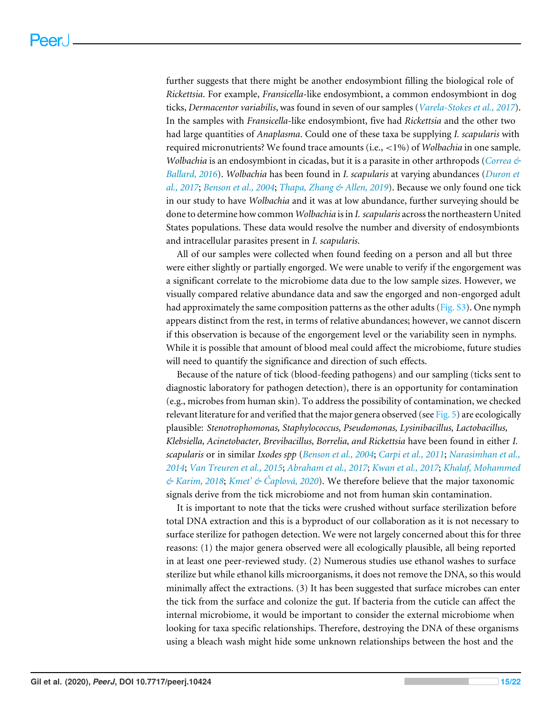further suggests that there might be another endosymbiont filling the biological role of *Rickettsia*. For example, *Fransicella*-like endosymbiont, a common endosymbiont in dog ticks, *Dermacentor variabilis*, was found in seven of our samples (*[Varela-Stokes et al., 2017](#page-20-13)*). In the samples with *Fransicella*-like endosymbiont, five had *Rickettsia* and the other two had large quantities of *Anaplasma*. Could one of these taxa be supplying *I. scapularis* with required micronutrients? We found trace amounts (i.e., <1%) of *Wolbachia* in one sample. *Wolbachia* is an endosymbiont in cicadas, but it is a parasite in other arthropods (*[Correa &](#page-17-10) [Ballard, 2016](#page-17-10)*). *Wolbachia* has been found in *I. scapularis* at varying abundances (*[Duron et](#page-17-11) [al., 2017](#page-17-11)*; *[Benson et al., 2004](#page-16-0)*; *[Thapa, Zhang & Allen, 2019](#page-20-4)*). Because we only found one tick in our study to have *Wolbachia* and it was at low abundance, further surveying should be done to determine how common *Wolbachia* is in *I. scapularis* across the northeastern United States populations. These data would resolve the number and diversity of endosymbionts and intracellular parasites present in *I. scapularis*.

All of our samples were collected when found feeding on a person and all but three were either slightly or partially engorged. We were unable to verify if the engorgement was a significant correlate to the microbiome data due to the low sample sizes. However, we visually compared relative abundance data and saw the engorged and non-engorged adult had approximately the same composition patterns as the other adults [\(Fig. S3\)](http://dx.doi.org/10.7717/peerj.10424#supp-10). One nymph appears distinct from the rest, in terms of relative abundances; however, we cannot discern if this observation is because of the engorgement level or the variability seen in nymphs. While it is possible that amount of blood meal could affect the microbiome, future studies will need to quantify the significance and direction of such effects.

Because of the nature of tick (blood-feeding pathogens) and our sampling (ticks sent to diagnostic laboratory for pathogen detection), there is an opportunity for contamination (e.g., microbes from human skin). To address the possibility of contamination, we checked relevant literature for and verified that the major genera observed (see [Fig. 5\)](#page-11-0) are ecologically plausible: *Stenotrophomonas, Staphylococcus, Pseudomonas, Lysinibacillus, Lactobacillus, Klebsiella, Acinetobacter, Brevibacillus, Borrelia, and Rickettsia* have been found in either *I. scapularis* or in similar *Ixodes spp* (*[Benson et al., 2004](#page-16-0)*; *[Carpi et al., 2011](#page-17-9)*; *[Narasimhan et al.,](#page-19-11) [2014](#page-19-11)*; *[Van Treuren et al., 2015](#page-20-3)*; *[Abraham et al., 2017](#page-16-1)*; *[Kwan et al., 2017](#page-18-5)*; *[Khalaf, Mohammed](#page-18-11) [& Karim, 2018](#page-18-11)*; *[Kmet' & Čaplová, 2020](#page-18-12)*). We therefore believe that the major taxonomic signals derive from the tick microbiome and not from human skin contamination.

It is important to note that the ticks were crushed without surface sterilization before total DNA extraction and this is a byproduct of our collaboration as it is not necessary to surface sterilize for pathogen detection. We were not largely concerned about this for three reasons: (1) the major genera observed were all ecologically plausible, all being reported in at least one peer-reviewed study. (2) Numerous studies use ethanol washes to surface sterilize but while ethanol kills microorganisms, it does not remove the DNA, so this would minimally affect the extractions. (3) It has been suggested that surface microbes can enter the tick from the surface and colonize the gut. If bacteria from the cuticle can affect the internal microbiome, it would be important to consider the external microbiome when looking for taxa specific relationships. Therefore, destroying the DNA of these organisms using a bleach wash might hide some unknown relationships between the host and the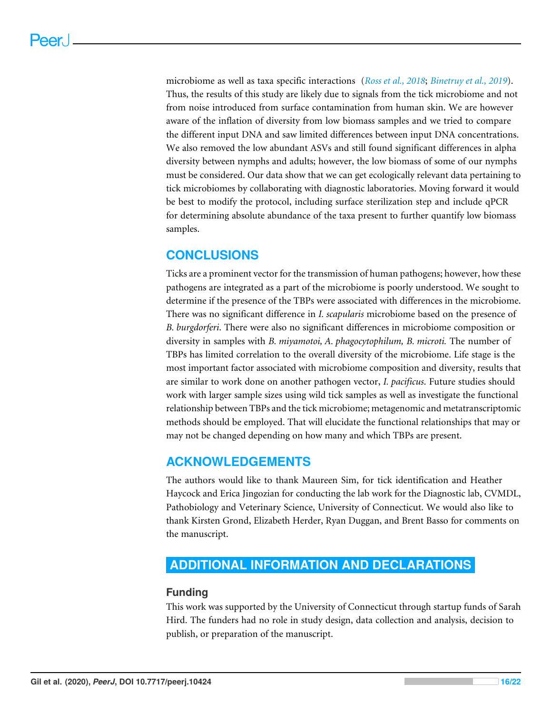microbiome as well as taxa specific interactions (*[Ross et al., 2018](#page-20-5)*; *[Binetruy et al., 2019](#page-17-12)*). Thus, the results of this study are likely due to signals from the tick microbiome and not from noise introduced from surface contamination from human skin. We are however aware of the inflation of diversity from low biomass samples and we tried to compare the different input DNA and saw limited differences between input DNA concentrations. We also removed the low abundant ASVs and still found significant differences in alpha diversity between nymphs and adults; however, the low biomass of some of our nymphs must be considered. Our data show that we can get ecologically relevant data pertaining to tick microbiomes by collaborating with diagnostic laboratories. Moving forward it would be best to modify the protocol, including surface sterilization step and include qPCR for determining absolute abundance of the taxa present to further quantify low biomass samples.

# **CONCLUSIONS**

Ticks are a prominent vector for the transmission of human pathogens; however, how these pathogens are integrated as a part of the microbiome is poorly understood. We sought to determine if the presence of the TBPs were associated with differences in the microbiome. There was no significant difference in *I. scapularis* microbiome based on the presence of *B. burgdorferi*. There were also no significant differences in microbiome composition or diversity in samples with *B. miyamotoi, A. phagocytophilum, B. microti.* The number of TBPs has limited correlation to the overall diversity of the microbiome. Life stage is the most important factor associated with microbiome composition and diversity, results that are similar to work done on another pathogen vector, *I. pacificus*. Future studies should work with larger sample sizes using wild tick samples as well as investigate the functional relationship between TBPs and the tick microbiome; metagenomic and metatranscriptomic methods should be employed. That will elucidate the functional relationships that may or may not be changed depending on how many and which TBPs are present.

# **ACKNOWLEDGEMENTS**

The authors would like to thank Maureen Sim, for tick identification and Heather Haycock and Erica Jingozian for conducting the lab work for the Diagnostic lab, CVMDL, Pathobiology and Veterinary Science, University of Connecticut. We would also like to thank Kirsten Grond, Elizabeth Herder, Ryan Duggan, and Brent Basso for comments on the manuscript.

# <span id="page-15-0"></span>**ADDITIONAL INFORMATION AND DECLARATIONS**

# **Funding**

This work was supported by the University of Connecticut through startup funds of Sarah Hird. The funders had no role in study design, data collection and analysis, decision to publish, or preparation of the manuscript.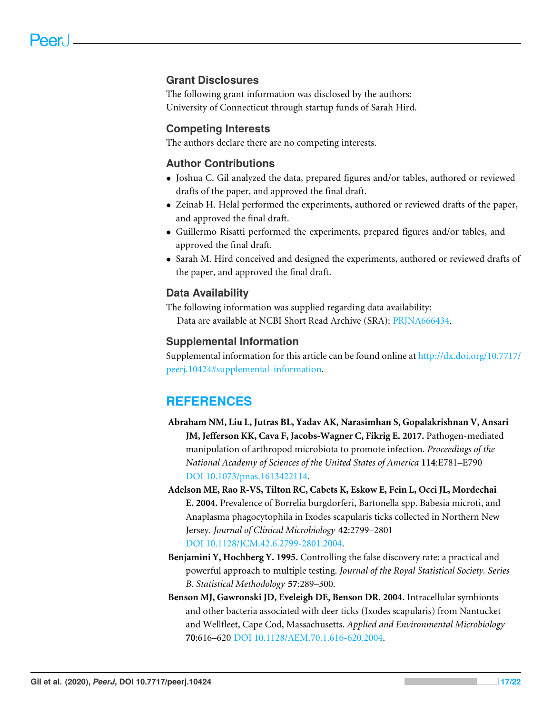# **Grant Disclosures**

The following grant information was disclosed by the authors: University of Connecticut through startup funds of Sarah Hird.

#### **Competing Interests**

The authors declare there are no competing interests.

# **Author Contributions**

- [Joshua C. Gil](#page-0-3) analyzed the data, prepared figures and/or tables, authored or reviewed drafts of the paper, and approved the final draft.
- [Zeinab H. Helal](#page-0-4) performed the experiments, authored or reviewed drafts of the paper, and approved the final draft.
- [Guillermo Risatti](#page-0-5) performed the experiments, prepared figures and/or tables, and approved the final draft.
- [Sarah M. Hird](#page-0-6) conceived and designed the experiments, authored or reviewed drafts of the paper, and approved the final draft.

### **Data Availability**

The following information was supplied regarding data availability: Data are available at NCBI Short Read Archive (SRA): [PRJNA666434.](http://www.ncbi.nlm.nih.gov/bioproject/?term=PRJNA666434)

### **Supplemental Information**

Supplemental information for this article can be found online at [http://dx.doi.org/10.7717/](http://dx.doi.org/10.7717/peerj.10424#supplemental-information) [peerj.10424#supplemental-information.](http://dx.doi.org/10.7717/peerj.10424#supplemental-information)

# **REFERENCES**

- <span id="page-16-1"></span>**Abraham NM, Liu L, Jutras BL, Yadav AK, Narasimhan S, Gopalakrishnan V, Ansari JM, Jefferson KK, Cava F, Jacobs-Wagner C, Fikrig E. 2017.** Pathogen-mediated manipulation of arthropod microbiota to promote infection. *Proceedings of the National Academy of Sciences of the United States of America* **114**:E781–E790 [DOI 10.1073/pnas.1613422114.](http://dx.doi.org/10.1073/pnas.1613422114)
- <span id="page-16-2"></span>**Adelson ME, Rao R-VS, Tilton RC, Cabets K, Eskow E, Fein L, Occi JL, Mordechai E. 2004.** Prevalence of Borrelia burgdorferi, Bartonella spp. Babesia microti, and Anaplasma phagocytophila in Ixodes scapularis ticks collected in Northern New Jersey. *Journal of Clinical Microbiology* **42**:2799–2801 [DOI 10.1128/JCM.42.6.2799-2801.2004.](http://dx.doi.org/10.1128/JCM.42.6.2799-2801.2004)
- <span id="page-16-3"></span>**Benjamini Y, Hochberg Y. 1995.** Controlling the false discovery rate: a practical and powerful approach to multiple testing. *Journal of the Royal Statistical Society. Series B. Statistical Methodology* **57**:289–300.
- <span id="page-16-0"></span>**Benson MJ, Gawronski JD, Eveleigh DE, Benson DR. 2004.** Intracellular symbionts and other bacteria associated with deer ticks (Ixodes scapularis) from Nantucket and Wellfleet, Cape Cod, Massachusetts. *Applied and Environmental Microbiology* **70**:616–620 [DOI 10.1128/AEM.70.1.616-620.2004.](http://dx.doi.org/10.1128/AEM.70.1.616-620.2004)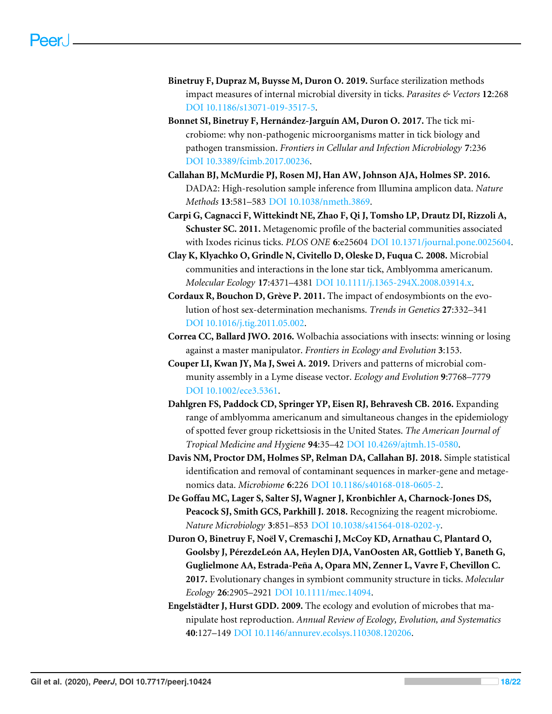- <span id="page-17-12"></span>**Binetruy F, Dupraz M, Buysse M, Duron O. 2019.** Surface sterilization methods impact measures of internal microbial diversity in ticks. *Parasites & Vectors* **12**:268 [DOI 10.1186/s13071-019-3517-5.](http://dx.doi.org/10.1186/s13071-019-3517-5)
- <span id="page-17-3"></span>**Bonnet SI, Binetruy F, Hernández-Jarguín AM, Duron O. 2017.** The tick microbiome: why non-pathogenic microorganisms matter in tick biology and pathogen transmission. *Frontiers in Cellular and Infection Microbiology* **7**:236 [DOI 10.3389/fcimb.2017.00236.](http://dx.doi.org/10.3389/fcimb.2017.00236)
- <span id="page-17-5"></span>**Callahan BJ, McMurdie PJ, Rosen MJ, Han AW, Johnson AJA, Holmes SP. 2016.** DADA2: High-resolution sample inference from Illumina amplicon data. *Nature Methods* **13**:581–583 [DOI 10.1038/nmeth.3869.](http://dx.doi.org/10.1038/nmeth.3869)
- <span id="page-17-9"></span>**Carpi G, Cagnacci F, Wittekindt NE, Zhao F, Qi J, Tomsho LP, Drautz DI, Rizzoli A, Schuster SC. 2011.** Metagenomic profile of the bacterial communities associated with Ixodes ricinus ticks. *PLOS ONE* **6**:e25604 [DOI 10.1371/journal.pone.0025604.](http://dx.doi.org/10.1371/journal.pone.0025604)
- <span id="page-17-8"></span>**Clay K, Klyachko O, Grindle N, Civitello D, Oleske D, Fuqua C. 2008.** Microbial communities and interactions in the lone star tick, Amblyomma americanum. *Molecular Ecology* **17**:4371–4381 [DOI 10.1111/j.1365-294X.2008.03914.x.](http://dx.doi.org/10.1111/j.1365-294X.2008.03914.x)
- <span id="page-17-2"></span>**Cordaux R, Bouchon D, Grève P. 2011.** The impact of endosymbionts on the evolution of host sex-determination mechanisms. *Trends in Genetics* **27**:332–341 [DOI 10.1016/j.tig.2011.05.002.](http://dx.doi.org/10.1016/j.tig.2011.05.002)
- <span id="page-17-10"></span>**Correa CC, Ballard JWO. 2016.** Wolbachia associations with insects: winning or losing against a master manipulator. *Frontiers in Ecology and Evolution* **3**:153.
- <span id="page-17-7"></span>**Couper LI, Kwan JY, Ma J, Swei A. 2019.** Drivers and patterns of microbial community assembly in a Lyme disease vector. *Ecology and Evolution* **9**:7768–7779 [DOI 10.1002/ece3.5361.](http://dx.doi.org/10.1002/ece3.5361)
- <span id="page-17-0"></span>**Dahlgren FS, Paddock CD, Springer YP, Eisen RJ, Behravesh CB. 2016.** Expanding range of amblyomma americanum and simultaneous changes in the epidemiology of spotted fever group rickettsiosis in the United States. *The American Journal of Tropical Medicine and Hygiene* **94**:35–42 [DOI 10.4269/ajtmh.15-0580.](http://dx.doi.org/10.4269/ajtmh.15-0580)
- <span id="page-17-6"></span>**Davis NM, Proctor DM, Holmes SP, Relman DA, Callahan BJ. 2018.** Simple statistical identification and removal of contaminant sequences in marker-gene and metagenomics data. *Microbiome* **6**:226 [DOI 10.1186/s40168-018-0605-2.](http://dx.doi.org/10.1186/s40168-018-0605-2)
- <span id="page-17-4"></span>**De Goffau MC, Lager S, Salter SJ, Wagner J, Kronbichler A, Charnock-Jones DS, Peacock SJ, Smith GCS, Parkhill J. 2018.** Recognizing the reagent microbiome. *Nature Microbiology* **3**:851–853 [DOI 10.1038/s41564-018-0202-y.](http://dx.doi.org/10.1038/s41564-018-0202-y)
- <span id="page-17-11"></span>**Duron O, Binetruy F, Noël V, Cremaschi J, McCoy KD, Arnathau C, Plantard O, Goolsby J, PérezdeLeón AA, Heylen DJA, VanOosten AR, Gottlieb Y, Baneth G, Guglielmone AA, Estrada-Peña A, Opara MN, Zenner L, Vavre F, Chevillon C. 2017.** Evolutionary changes in symbiont community structure in ticks. *Molecular Ecology* **26**:2905–2921 [DOI 10.1111/mec.14094.](http://dx.doi.org/10.1111/mec.14094)
- <span id="page-17-1"></span>**Engelstädter J, Hurst GDD. 2009.** The ecology and evolution of microbes that manipulate host reproduction. *Annual Review of Ecology, Evolution, and Systematics* **40**:127–149 [DOI 10.1146/annurev.ecolsys.110308.120206.](http://dx.doi.org/10.1146/annurev.ecolsys.110308.120206)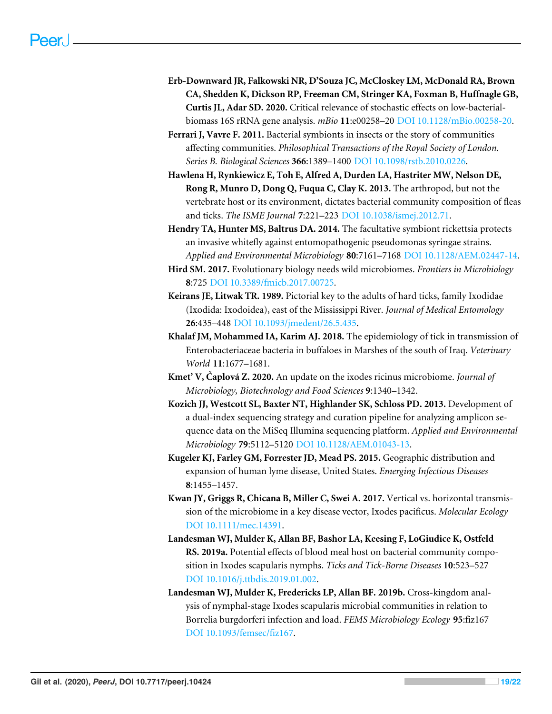- <span id="page-18-9"></span>**Erb-Downward JR, Falkowski NR, D'Souza JC, McCloskey LM, McDonald RA, Brown CA, Shedden K, Dickson RP, Freeman CM, Stringer KA, Foxman B, Huffnagle GB, Curtis JL, Adar SD. 2020.** Critical relevance of stochastic effects on low-bacterialbiomass 16S rRNA gene analysis. *mBio* **11**:e00258–20 [DOI 10.1128/mBio.00258-20.](http://dx.doi.org/10.1128/mBio.00258-20)
- <span id="page-18-1"></span>**Ferrari J, Vavre F. 2011.** Bacterial symbionts in insects or the story of communities affecting communities. *Philosophical Transactions of the Royal Society of London. Series B. Biological Sciences* **366**:1389–1400 [DOI 10.1098/rstb.2010.0226.](http://dx.doi.org/10.1098/rstb.2010.0226)
- <span id="page-18-4"></span>**Hawlena H, Rynkiewicz E, Toh E, Alfred A, Durden LA, Hastriter MW, Nelson DE, Rong R, Munro D, Dong Q, Fuqua C, Clay K. 2013.** The arthropod, but not the vertebrate host or its environment, dictates bacterial community composition of fleas and ticks. *The ISME Journal* **7**:221–223 [DOI 10.1038/ismej.2012.71.](http://dx.doi.org/10.1038/ismej.2012.71)
- <span id="page-18-3"></span>**Hendry TA, Hunter MS, Baltrus DA. 2014.** The facultative symbiont rickettsia protects an invasive whitefly against entomopathogenic pseudomonas syringae strains. *Applied and Environmental Microbiology* **80**:7161–7168 [DOI 10.1128/AEM.02447-14.](http://dx.doi.org/10.1128/AEM.02447-14)
- <span id="page-18-10"></span>**Hird SM. 2017.** Evolutionary biology needs wild microbiomes. *Frontiers in Microbiology* **8**:725 [DOI 10.3389/fmicb.2017.00725.](http://dx.doi.org/10.3389/fmicb.2017.00725)
- <span id="page-18-7"></span>**Keirans JE, Litwak TR. 1989.** Pictorial key to the adults of hard ticks, family Ixodidae (Ixodida: Ixodoidea), east of the Mississippi River. *Journal of Medical Entomology* **26**:435–448 [DOI 10.1093/jmedent/26.5.435.](http://dx.doi.org/10.1093/jmedent/26.5.435)
- <span id="page-18-11"></span>**Khalaf JM, Mohammed IA, Karim AJ. 2018.** The epidemiology of tick in transmission of Enterobacteriaceae bacteria in buffaloes in Marshes of the south of Iraq. *Veterinary World* **11**:1677–1681.
- <span id="page-18-12"></span>**Kmet' V, Čaplová Z. 2020.** An update on the ixodes ricinus microbiome. *Journal of Microbiology, Biotechnology and Food Sciences* **9**:1340–1342.
- <span id="page-18-8"></span>**Kozich JJ, Westcott SL, Baxter NT, Highlander SK, Schloss PD. 2013.** Development of a dual-index sequencing strategy and curation pipeline for analyzing amplicon sequence data on the MiSeq Illumina sequencing platform. *Applied and Environmental Microbiology* **79**:5112–5120 [DOI 10.1128/AEM.01043-13.](http://dx.doi.org/10.1128/AEM.01043-13)
- <span id="page-18-0"></span>**Kugeler KJ, Farley GM, Forrester JD, Mead PS. 2015.** Geographic distribution and expansion of human lyme disease, United States. *Emerging Infectious Diseases* **8**:1455–1457.
- <span id="page-18-5"></span>**Kwan JY, Griggs R, Chicana B, Miller C, Swei A. 2017.** Vertical vs. horizontal transmission of the microbiome in a key disease vector, Ixodes pacificus. *Molecular Ecology* [DOI 10.1111/mec.14391.](http://dx.doi.org/10.1111/mec.14391)
- <span id="page-18-2"></span>**Landesman WJ, Mulder K, Allan BF, Bashor LA, Keesing F, LoGiudice K, Ostfeld RS. 2019a.** Potential effects of blood meal host on bacterial community composition in Ixodes scapularis nymphs. *Ticks and Tick-Borne Diseases* **10**:523–527 [DOI 10.1016/j.ttbdis.2019.01.002.](http://dx.doi.org/10.1016/j.ttbdis.2019.01.002)
- <span id="page-18-6"></span>**Landesman WJ, Mulder K, Fredericks LP, Allan BF. 2019b.** Cross-kingdom analysis of nymphal-stage Ixodes scapularis microbial communities in relation to Borrelia burgdorferi infection and load. *FEMS Microbiology Ecology* **95**:fiz167 [DOI 10.1093/femsec/fiz167.](http://dx.doi.org/10.1093/femsec/fiz167)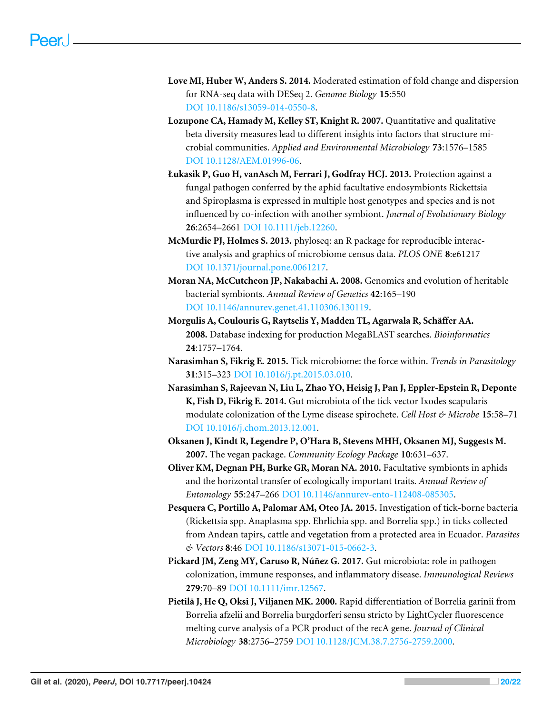- <span id="page-19-9"></span>**Love MI, Huber W, Anders S. 2014.** Moderated estimation of fold change and dispersion for RNA-seq data with DESeq 2. *Genome Biology* **15**:550 [DOI 10.1186/s13059-014-0550-8.](http://dx.doi.org/10.1186/s13059-014-0550-8)
- <span id="page-19-10"></span>**Lozupone CA, Hamady M, Kelley ST, Knight R. 2007.** Quantitative and qualitative beta diversity measures lead to different insights into factors that structure microbial communities. *Applied and Environmental Microbiology* **73**:1576–1585 [DOI 10.1128/AEM.01996-06.](http://dx.doi.org/10.1128/AEM.01996-06)
- <span id="page-19-2"></span>**Łukasik P, Guo H, vanAsch M, Ferrari J, Godfray HCJ. 2013.** Protection against a fungal pathogen conferred by the aphid facultative endosymbionts Rickettsia and Spiroplasma is expressed in multiple host genotypes and species and is not influenced by co-infection with another symbiont. *Journal of Evolutionary Biology* **26**:2654–2661 [DOI 10.1111/jeb.12260.](http://dx.doi.org/10.1111/jeb.12260)
- <span id="page-19-7"></span>**McMurdie PJ, Holmes S. 2013.** phyloseq: an R package for reproducible interactive analysis and graphics of microbiome census data. *PLOS ONE* **8**:e61217 [DOI 10.1371/journal.pone.0061217.](http://dx.doi.org/10.1371/journal.pone.0061217)
- <span id="page-19-0"></span>**Moran NA, McCutcheon JP, Nakabachi A. 2008.** Genomics and evolution of heritable bacterial symbionts. *Annual Review of Genetics* **42**:165–190 [DOI 10.1146/annurev.genet.41.110306.130119.](http://dx.doi.org/10.1146/annurev.genet.41.110306.130119)
- <span id="page-19-6"></span>**Morgulis A, Coulouris G, Raytselis Y, Madden TL, Agarwala R, Schäffer AA. 2008.** Database indexing for production MegaBLAST searches. *Bioinformatics* **24**:1757–1764.
- <span id="page-19-3"></span>**Narasimhan S, Fikrig E. 2015.** Tick microbiome: the force within. *Trends in Parasitology* **31**:315–323 [DOI 10.1016/j.pt.2015.03.010.](http://dx.doi.org/10.1016/j.pt.2015.03.010)
- <span id="page-19-11"></span>**Narasimhan S, Rajeevan N, Liu L, Zhao YO, Heisig J, Pan J, Eppler-Epstein R, Deponte K, Fish D, Fikrig E. 2014.** Gut microbiota of the tick vector Ixodes scapularis modulate colonization of the Lyme disease spirochete. *Cell Host & Microbe* **15**:58–71 [DOI 10.1016/j.chom.2013.12.001.](http://dx.doi.org/10.1016/j.chom.2013.12.001)
- <span id="page-19-8"></span>**Oksanen J, Kindt R, Legendre P, O'Hara B, Stevens MHH, Oksanen MJ, Suggests M. 2007.** The vegan package. *Community Ecology Package* **10**:631–637.
- <span id="page-19-1"></span>**Oliver KM, Degnan PH, Burke GR, Moran NA. 2010.** Facultative symbionts in aphids and the horizontal transfer of ecologically important traits. *Annual Review of Entomology* **55**:247–266 [DOI 10.1146/annurev-ento-112408-085305.](http://dx.doi.org/10.1146/annurev-ento-112408-085305)
- <span id="page-19-5"></span>**Pesquera C, Portillo A, Palomar AM, Oteo JA. 2015.** Investigation of tick-borne bacteria (Rickettsia spp. Anaplasma spp. Ehrlichia spp. and Borrelia spp.) in ticks collected from Andean tapirs, cattle and vegetation from a protected area in Ecuador. *Parasites & Vectors* **8**:46 [DOI 10.1186/s13071-015-0662-3.](http://dx.doi.org/10.1186/s13071-015-0662-3)
- **Pickard JM, Zeng MY, Caruso R, Núñez G. 2017.** Gut microbiota: role in pathogen colonization, immune responses, and inflammatory disease. *Immunological Reviews* **279**:70–89 [DOI 10.1111/imr.12567.](http://dx.doi.org/10.1111/imr.12567)
- <span id="page-19-4"></span>**Pietilä J, He Q, Oksi J, Viljanen MK. 2000.** Rapid differentiation of Borrelia garinii from Borrelia afzelii and Borrelia burgdorferi sensu stricto by LightCycler fluorescence melting curve analysis of a PCR product of the recA gene. *Journal of Clinical Microbiology* **38**:2756–2759 [DOI 10.1128/JCM.38.7.2756-2759.2000.](http://dx.doi.org/10.1128/JCM.38.7.2756-2759.2000)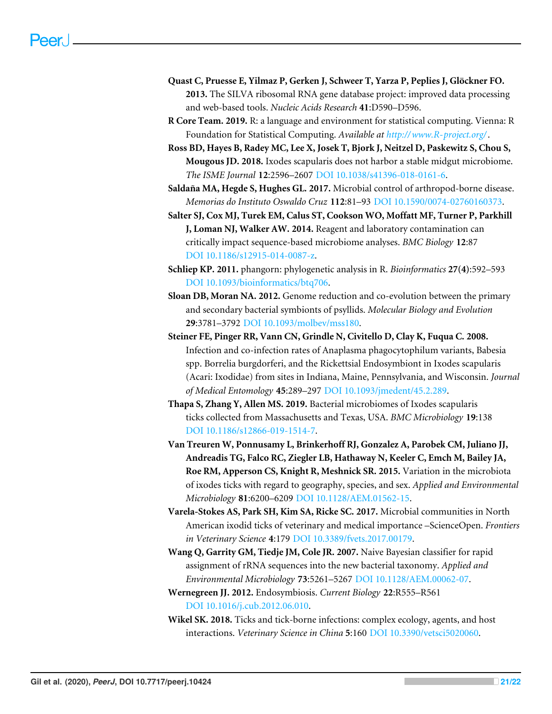- <span id="page-20-9"></span>**Quast C, Pruesse E, Yilmaz P, Gerken J, Schweer T, Yarza P, Peplies J, Glöckner FO. 2013.** The SILVA ribosomal RNA gene database project: improved data processing and web-based tools. *Nucleic Acids Research* **41**:D590–D596.
- <span id="page-20-7"></span>**R Core Team. 2019.** R: a language and environment for statistical computing. Vienna: R Foundation for Statistical Computing. *Available at <http://www.R-project.org/>*.
- <span id="page-20-5"></span>**Ross BD, Hayes B, Radey MC, Lee X, Josek T, Bjork J, Neitzel D, Paskewitz S, Chou S, Mougous JD. 2018.** Ixodes scapularis does not harbor a stable midgut microbiome. *The ISME Journal* **12**:2596–2607 [DOI 10.1038/s41396-018-0161-6.](http://dx.doi.org/10.1038/s41396-018-0161-6)
- <span id="page-20-2"></span>**Saldaña MA, Hegde S, Hughes GL. 2017.** Microbial control of arthropod-borne disease. *Memorias do Instituto Oswaldo Cruz* **112**:81–93 [DOI 10.1590/0074-02760160373.](http://dx.doi.org/10.1590/0074-02760160373)
- <span id="page-20-12"></span>**Salter SJ, Cox MJ, Turek EM, Calus ST, Cookson WO, Moffatt MF, Turner P, Parkhill J, Loman NJ, Walker AW. 2014.** Reagent and laboratory contamination can critically impact sequence-based microbiome analyses. *BMC Biology* **12**:87 [DOI 10.1186/s12915-014-0087-z.](http://dx.doi.org/10.1186/s12915-014-0087-z)
- <span id="page-20-11"></span>**Schliep KP. 2011.** phangorn: phylogenetic analysis in R. *Bioinformatics* **27(4)**:592–593 [DOI 10.1093/bioinformatics/btq706.](http://dx.doi.org/10.1093/bioinformatics/btq706)
- <span id="page-20-10"></span>**Sloan DB, Moran NA. 2012.** Genome reduction and co-evolution between the primary and secondary bacterial symbionts of psyllids. *Molecular Biology and Evolution* **29**:3781–3792 [DOI 10.1093/molbev/mss180.](http://dx.doi.org/10.1093/molbev/mss180)
- <span id="page-20-6"></span>**Steiner FE, Pinger RR, Vann CN, Grindle N, Civitello D, Clay K, Fuqua C. 2008.** Infection and co-infection rates of Anaplasma phagocytophilum variants, Babesia spp. Borrelia burgdorferi, and the Rickettsial Endosymbiont in Ixodes scapularis (Acari: Ixodidae) from sites in Indiana, Maine, Pennsylvania, and Wisconsin. *Journal of Medical Entomology* **45**:289–297 [DOI 10.1093/jmedent/45.2.289.](http://dx.doi.org/10.1093/jmedent/45.2.289)
- <span id="page-20-4"></span>**Thapa S, Zhang Y, Allen MS. 2019.** Bacterial microbiomes of Ixodes scapularis ticks collected from Massachusetts and Texas, USA. *BMC Microbiology* **19**:138 [DOI 10.1186/s12866-019-1514-7.](http://dx.doi.org/10.1186/s12866-019-1514-7)
- <span id="page-20-3"></span>**Van Treuren W, Ponnusamy L, Brinkerhoff RJ, Gonzalez A, Parobek CM, Juliano JJ, Andreadis TG, Falco RC, Ziegler LB, Hathaway N, Keeler C, Emch M, Bailey JA, Roe RM, Apperson CS, Knight R, Meshnick SR. 2015.** Variation in the microbiota of ixodes ticks with regard to geography, species, and sex. *Applied and Environmental Microbiology* **81**:6200–6209 [DOI 10.1128/AEM.01562-15.](http://dx.doi.org/10.1128/AEM.01562-15)
- <span id="page-20-13"></span>**Varela-Stokes AS, Park SH, Kim SA, Ricke SC. 2017.** Microbial communities in North American ixodid ticks of veterinary and medical importance –ScienceOpen. *Frontiers in Veterinary Science* **4**:179 [DOI 10.3389/fvets.2017.00179.](http://dx.doi.org/10.3389/fvets.2017.00179)
- <span id="page-20-8"></span>**Wang Q, Garrity GM, Tiedje JM, Cole JR. 2007.** Naive Bayesian classifier for rapid assignment of rRNA sequences into the new bacterial taxonomy. *Applied and Environmental Microbiology* **73**:5261–5267 [DOI 10.1128/AEM.00062-07.](http://dx.doi.org/10.1128/AEM.00062-07)
- <span id="page-20-1"></span>**Wernegreen JJ. 2012.** Endosymbiosis. *Current Biology* **22**:R555–R561 [DOI 10.1016/j.cub.2012.06.010.](http://dx.doi.org/10.1016/j.cub.2012.06.010)
- <span id="page-20-0"></span>**Wikel SK. 2018.** Ticks and tick-borne infections: complex ecology, agents, and host interactions. *Veterinary Science in China* **5**:160 [DOI 10.3390/vetsci5020060.](http://dx.doi.org/10.3390/vetsci5020060)